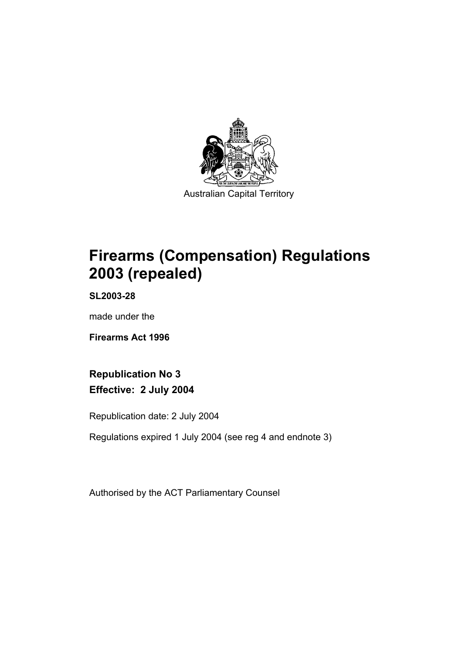

Australian Capital Territory

# **Firearms (Compensation) Regulations 2003 (repealed)**

**SL2003-28** 

made under the

**Firearms Act 1996** 

**Republication No 3 Effective: 2 July 2004** 

Republication date: 2 July 2004

Regulations expired 1 July 2004 (see reg 4 and endnote 3)

Authorised by the ACT Parliamentary Counsel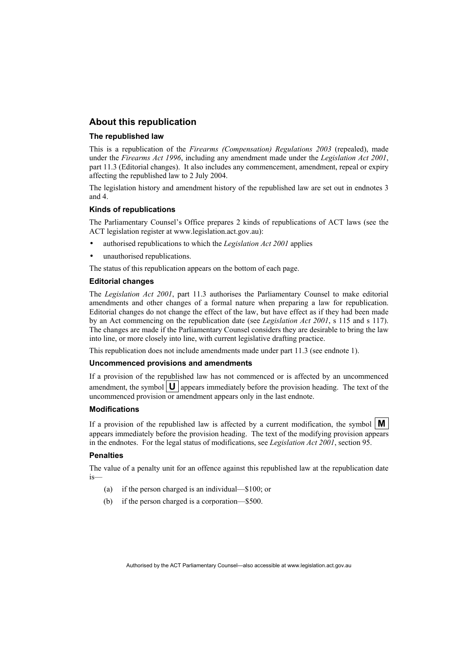## **About this republication**

## **The republished law**

This is a republication of the *Firearms (Compensation) Regulations 2003* (repealed), made under the *Firearms Act 1996*, including any amendment made under the *Legislation Act 2001*, part 11.3 (Editorial changes).It also includes any commencement, amendment, repeal or expiry affecting the republished law to 2 July 2004.

The legislation history and amendment history of the republished law are set out in endnotes 3 and 4.

## **Kinds of republications**

The Parliamentary Counsel's Office prepares 2 kinds of republications of ACT laws (see the ACT legislation register at www.legislation.act.gov.au):

- authorised republications to which the *Legislation Act 2001* applies
- unauthorised republications.

The status of this republication appears on the bottom of each page.

## **Editorial changes**

The *Legislation Act 2001*, part 11.3 authorises the Parliamentary Counsel to make editorial amendments and other changes of a formal nature when preparing a law for republication. Editorial changes do not change the effect of the law, but have effect as if they had been made by an Act commencing on the republication date (see *Legislation Act 2001*, s 115 and s 117). The changes are made if the Parliamentary Counsel considers they are desirable to bring the law into line, or more closely into line, with current legislative drafting practice.

This republication does not include amendments made under part 11.3 (see endnote 1).

## **Uncommenced provisions and amendments**

If a provision of the republished law has not commenced or is affected by an uncommenced amendment, the symbol  $\mathbf{U}$  appears immediately before the provision heading. The text of the uncommenced provision or amendment appears only in the last endnote.

## **Modifications**

If a provision of the republished law is affected by a current modification, the symbol  $\mathbf{M}$ appears immediately before the provision heading. The text of the modifying provision appears in the endnotes. For the legal status of modifications, see *Legislation Act 2001*, section 95.

## **Penalties**

The value of a penalty unit for an offence against this republished law at the republication date is—

- (a) if the person charged is an individual—\$100; or
- (b) if the person charged is a corporation—\$500.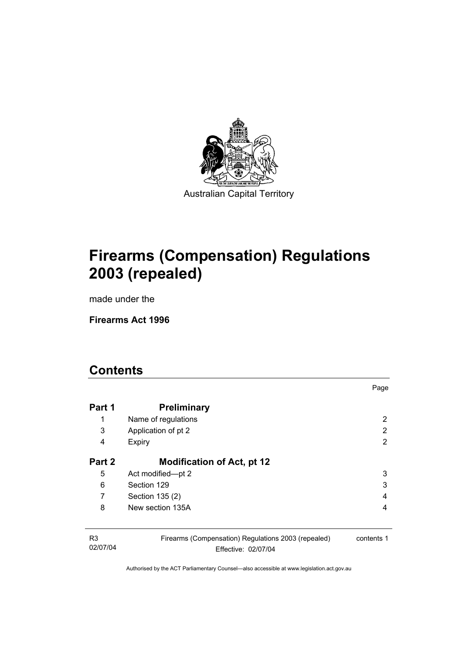

**Firearms (Compensation) Regulations 2003 (repealed)** 

made under the

**Firearms Act 1996** 

# **Contents**

02/07/04

|        |                                                     | Page       |
|--------|-----------------------------------------------------|------------|
| Part 1 | <b>Preliminary</b>                                  |            |
| 1      | Name of regulations                                 | 2          |
| 3      | Application of pt 2                                 | 2          |
| 4      | Expiry                                              | 2          |
| Part 2 | <b>Modification of Act, pt 12</b>                   |            |
| 5      | Act modified-pt 2                                   | 3          |
| 6      | Section 129                                         | 3          |
| 7      | Section 135 (2)                                     | 4          |
| 8      | New section 135A                                    | 4          |
|        |                                                     |            |
| R3     | Firearms (Compensation) Regulations 2003 (repealed) | contents 1 |

Effective: 02/07/04

contents 1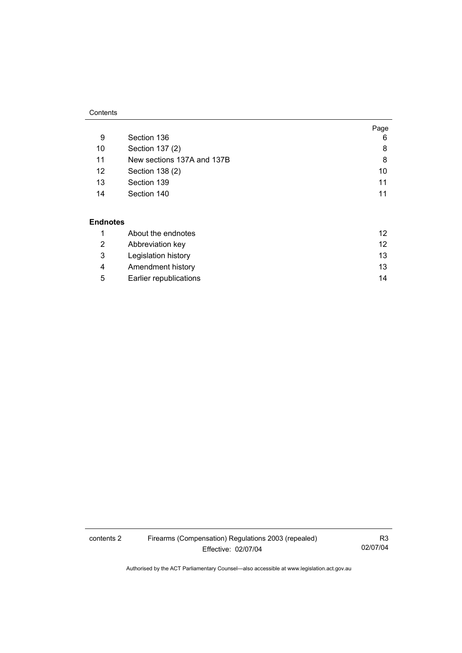## **Contents**

|    |                            | Page |
|----|----------------------------|------|
| 9  | Section 136                | 6    |
| 10 | Section 137 (2)            | 8    |
| 11 | New sections 137A and 137B | 8    |
| 12 | Section 138 (2)            | 10   |
| 13 | Section 139                | 11   |
| 14 | Section 140                | 11   |

## **Endnotes**

|    | About the endnotes     | 12 |
|----|------------------------|----|
| 2  | Abbreviation key       | 12 |
| -3 | Legislation history    | 13 |
| 4  | Amendment history      | 13 |
| 5  | Earlier republications | 14 |

contents 2 Firearms (Compensation) Regulations 2003 (repealed) Effective: 02/07/04

R3 02/07/04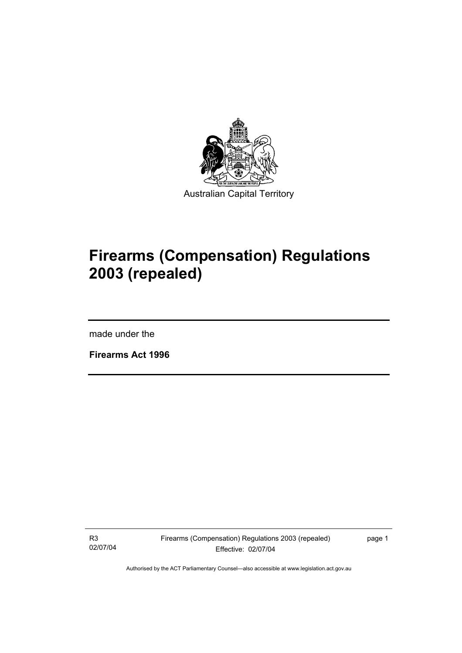

# **Firearms (Compensation) Regulations 2003 (repealed)**

made under the

I

**Firearms Act 1996** 

R3 02/07/04 Firearms (Compensation) Regulations 2003 (repealed) Effective: 02/07/04

page 1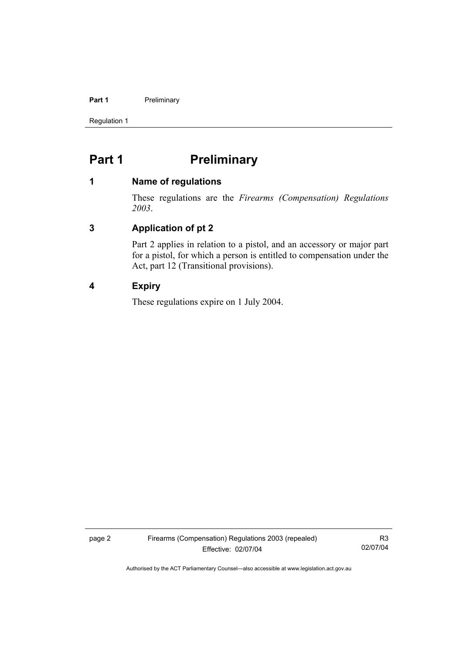## Part 1 **Preliminary**

Regulation 1

# Part 1 **Preliminary**

## **1 Name of regulations**

These regulations are the *Firearms (Compensation) Regulations 2003*.

# **3 Application of pt 2**

Part 2 applies in relation to a pistol, and an accessory or major part for a pistol, for which a person is entitled to compensation under the Act, part 12 (Transitional provisions).

# **4 Expiry**

These regulations expire on 1 July 2004.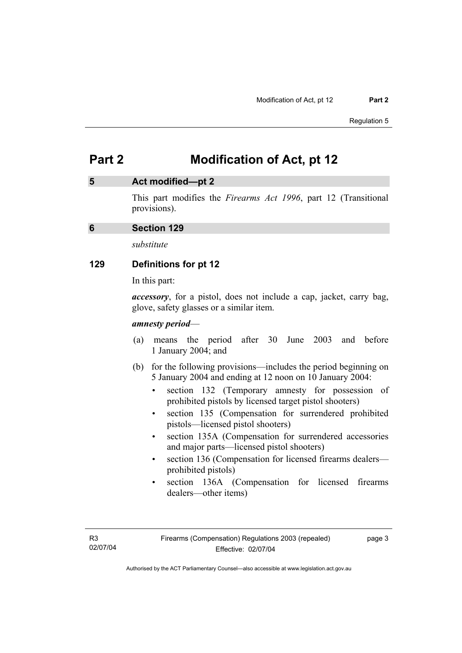## **5 Act modified—pt 2**

This part modifies the *Firearms Act 1996*, part 12 (Transitional provisions).

## **6 Section 129**

*substitute* 

## **129 Definitions for pt 12**

In this part:

*accessory*, for a pistol, does not include a cap, jacket, carry bag, glove, safety glasses or a similar item.

## *amnesty period*—

- (a) means the period after 30 June 2003 and before 1 January 2004; and
- (b) for the following provisions—includes the period beginning on 5 January 2004 and ending at 12 noon on 10 January 2004:
	- section 132 (Temporary amnesty for possession of prohibited pistols by licensed target pistol shooters)
	- section 135 (Compensation for surrendered prohibited pistols—licensed pistol shooters)
	- section 135A (Compensation for surrendered accessories and major parts—licensed pistol shooters)
	- section 136 (Compensation for licensed firearms dealers prohibited pistols)
	- section 136A (Compensation for licensed firearms dealers—other items)

page 3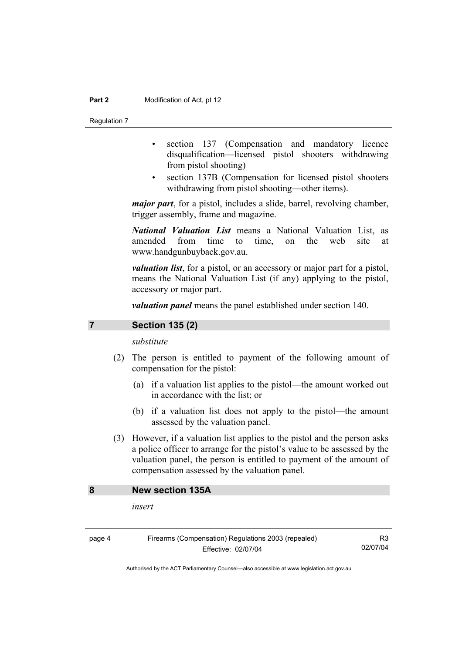Regulation 7

- section 137 (Compensation and mandatory licence disqualification—licensed pistol shooters withdrawing from pistol shooting)
- section 137B (Compensation for licensed pistol shooters withdrawing from pistol shooting—other items).

*major part*, for a pistol, includes a slide, barrel, revolving chamber, trigger assembly, frame and magazine.

*National Valuation List* means a National Valuation List, as amended from time to time, on the web site at www.handgunbuyback.gov.au.

*valuation list*, for a pistol, or an accessory or major part for a pistol, means the National Valuation List (if any) applying to the pistol, accessory or major part.

*valuation panel* means the panel established under section 140.

## **7 Section 135 (2)**

*substitute* 

- (2) The person is entitled to payment of the following amount of compensation for the pistol:
	- (a) if a valuation list applies to the pistol—the amount worked out in accordance with the list; or
	- (b) if a valuation list does not apply to the pistol—the amount assessed by the valuation panel.
- (3) However, if a valuation list applies to the pistol and the person asks a police officer to arrange for the pistol's value to be assessed by the valuation panel, the person is entitled to payment of the amount of compensation assessed by the valuation panel.

## **8 New section 135A**

*insert* 

page 4 Firearms (Compensation) Regulations 2003 (repealed) Effective: 02/07/04

R3 02/07/04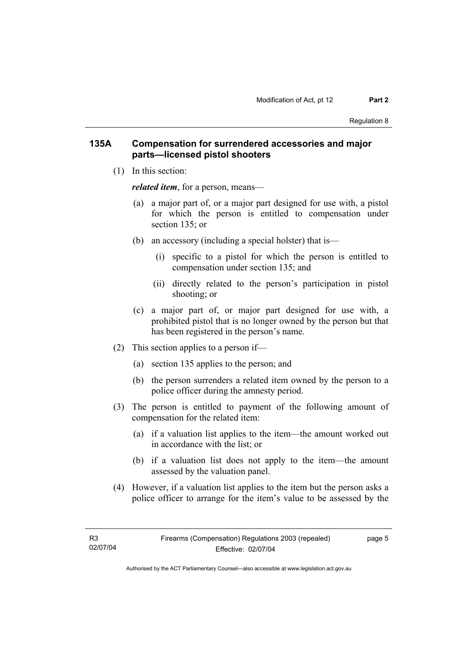## **135A Compensation for surrendered accessories and major parts—licensed pistol shooters**

(1) In this section:

*related item*, for a person, means—

- (a) a major part of, or a major part designed for use with, a pistol for which the person is entitled to compensation under section 135; or
- (b) an accessory (including a special holster) that is—
	- (i) specific to a pistol for which the person is entitled to compensation under section 135; and
	- (ii) directly related to the person's participation in pistol shooting; or
- (c) a major part of, or major part designed for use with, a prohibited pistol that is no longer owned by the person but that has been registered in the person's name.
- (2) This section applies to a person if—
	- (a) section 135 applies to the person; and
	- (b) the person surrenders a related item owned by the person to a police officer during the amnesty period.
- (3) The person is entitled to payment of the following amount of compensation for the related item:
	- (a) if a valuation list applies to the item—the amount worked out in accordance with the list; or
	- (b) if a valuation list does not apply to the item—the amount assessed by the valuation panel.
- (4) However, if a valuation list applies to the item but the person asks a police officer to arrange for the item's value to be assessed by the

page 5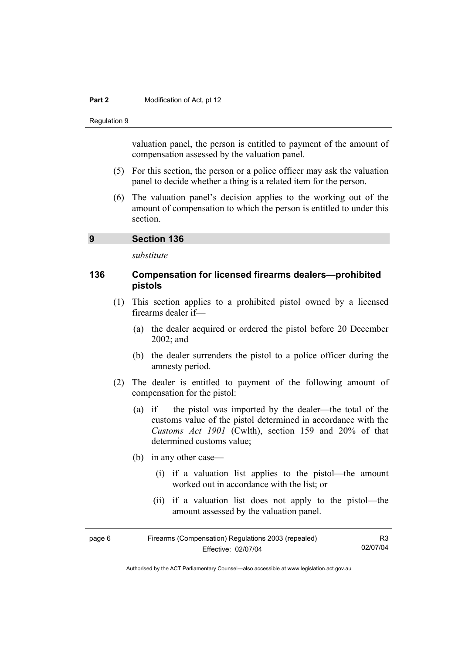Regulation 9

valuation panel, the person is entitled to payment of the amount of compensation assessed by the valuation panel.

- (5) For this section, the person or a police officer may ask the valuation panel to decide whether a thing is a related item for the person.
- (6) The valuation panel's decision applies to the working out of the amount of compensation to which the person is entitled to under this section.

## **9 Section 136**

*substitute* 

## **136 Compensation for licensed firearms dealers—prohibited pistols**

- (1) This section applies to a prohibited pistol owned by a licensed firearms dealer if—
	- (a) the dealer acquired or ordered the pistol before 20 December 2002; and
	- (b) the dealer surrenders the pistol to a police officer during the amnesty period.
- (2) The dealer is entitled to payment of the following amount of compensation for the pistol:
	- (a) if the pistol was imported by the dealer—the total of the customs value of the pistol determined in accordance with the *Customs Act 1901* (Cwlth), section 159 and 20% of that determined customs value;
	- (b) in any other case—
		- (i) if a valuation list applies to the pistol—the amount worked out in accordance with the list; or
		- (ii) if a valuation list does not apply to the pistol—the amount assessed by the valuation panel.

| Firearms (Compensation) Regulations 2003 (repealed)<br>page 6 |                     | R3       |
|---------------------------------------------------------------|---------------------|----------|
|                                                               | Effective: 02/07/04 | 02/07/04 |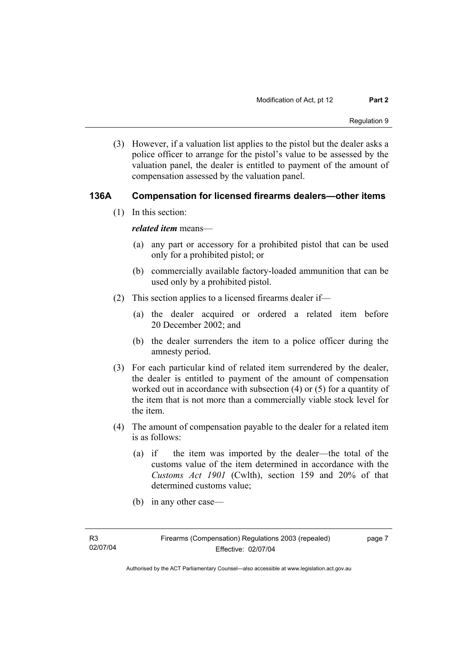(3) However, if a valuation list applies to the pistol but the dealer asks a police officer to arrange for the pistol's value to be assessed by the valuation panel, the dealer is entitled to payment of the amount of compensation assessed by the valuation panel.

## **136A Compensation for licensed firearms dealers—other items**

(1) In this section:

*related item* means—

- (a) any part or accessory for a prohibited pistol that can be used only for a prohibited pistol; or
- (b) commercially available factory-loaded ammunition that can be used only by a prohibited pistol.
- (2) This section applies to a licensed firearms dealer if—
	- (a) the dealer acquired or ordered a related item before 20 December 2002; and
	- (b) the dealer surrenders the item to a police officer during the amnesty period.
- (3) For each particular kind of related item surrendered by the dealer, the dealer is entitled to payment of the amount of compensation worked out in accordance with subsection (4) or (5) for a quantity of the item that is not more than a commercially viable stock level for the item.
- (4) The amount of compensation payable to the dealer for a related item is as follows:
	- (a) if the item was imported by the dealer—the total of the customs value of the item determined in accordance with the *Customs Act 1901* (Cwlth), section 159 and 20% of that determined customs value;
	- (b) in any other case—

page 7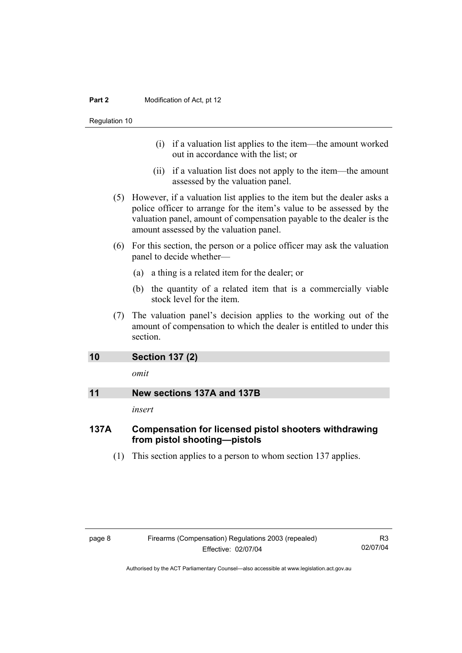- (i) if a valuation list applies to the item—the amount worked out in accordance with the list; or
- (ii) if a valuation list does not apply to the item—the amount assessed by the valuation panel.
- (5) However, if a valuation list applies to the item but the dealer asks a police officer to arrange for the item's value to be assessed by the valuation panel, amount of compensation payable to the dealer is the amount assessed by the valuation panel.
- (6) For this section, the person or a police officer may ask the valuation panel to decide whether—
	- (a) a thing is a related item for the dealer; or
	- (b) the quantity of a related item that is a commercially viable stock level for the item.
- (7) The valuation panel's decision applies to the working out of the amount of compensation to which the dealer is entitled to under this section.

| 10 | <b>Section 137 (2)</b>     |
|----|----------------------------|
|    | omit                       |
| 11 | New sections 137A and 137B |
|    | insert                     |

# **137A Compensation for licensed pistol shooters withdrawing from pistol shooting—pistols**

(1) This section applies to a person to whom section 137 applies.

R3 02/07/04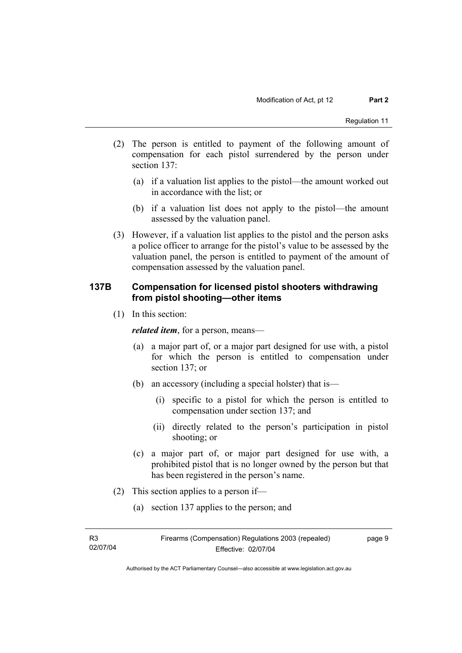- (2) The person is entitled to payment of the following amount of compensation for each pistol surrendered by the person under section 137:
	- (a) if a valuation list applies to the pistol—the amount worked out in accordance with the list; or
	- (b) if a valuation list does not apply to the pistol—the amount assessed by the valuation panel.
- (3) However, if a valuation list applies to the pistol and the person asks a police officer to arrange for the pistol's value to be assessed by the valuation panel, the person is entitled to payment of the amount of compensation assessed by the valuation panel.

# **137B Compensation for licensed pistol shooters withdrawing from pistol shooting—other items**

(1) In this section:

*related item*, for a person, means—

- (a) a major part of, or a major part designed for use with, a pistol for which the person is entitled to compensation under section 137; or
- (b) an accessory (including a special holster) that is—
	- (i) specific to a pistol for which the person is entitled to compensation under section 137; and
	- (ii) directly related to the person's participation in pistol shooting; or
- (c) a major part of, or major part designed for use with, a prohibited pistol that is no longer owned by the person but that has been registered in the person's name.
- (2) This section applies to a person if—
	- (a) section 137 applies to the person; and

| R3       |  |
|----------|--|
| 02/07/04 |  |

page 9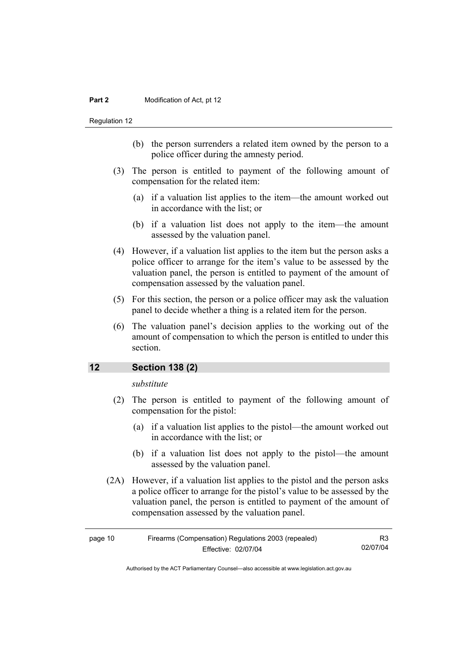Regulation 12

- (b) the person surrenders a related item owned by the person to a police officer during the amnesty period.
- (3) The person is entitled to payment of the following amount of compensation for the related item:
	- (a) if a valuation list applies to the item—the amount worked out in accordance with the list; or
	- (b) if a valuation list does not apply to the item—the amount assessed by the valuation panel.
- (4) However, if a valuation list applies to the item but the person asks a police officer to arrange for the item's value to be assessed by the valuation panel, the person is entitled to payment of the amount of compensation assessed by the valuation panel.
- (5) For this section, the person or a police officer may ask the valuation panel to decide whether a thing is a related item for the person.
- (6) The valuation panel's decision applies to the working out of the amount of compensation to which the person is entitled to under this section.

## **12 Section 138 (2)**

*substitute* 

- (2) The person is entitled to payment of the following amount of compensation for the pistol:
	- (a) if a valuation list applies to the pistol—the amount worked out in accordance with the list; or
	- (b) if a valuation list does not apply to the pistol—the amount assessed by the valuation panel.
- (2A) However, if a valuation list applies to the pistol and the person asks a police officer to arrange for the pistol's value to be assessed by the valuation panel, the person is entitled to payment of the amount of compensation assessed by the valuation panel.

| page 10 | R3                  |          |
|---------|---------------------|----------|
|         | Effective: 02/07/04 | 02/07/04 |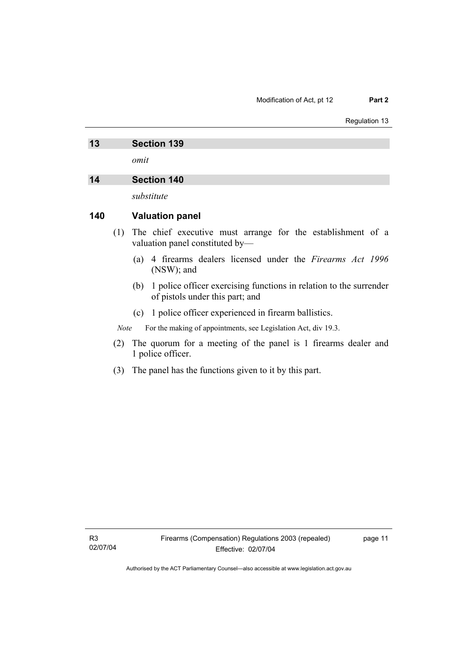Regulation 13

# **13 Section 139**

*omit* 

## **14 Section 140**

*substitute* 

## **140 Valuation panel**

- (1) The chief executive must arrange for the establishment of a valuation panel constituted by—
	- (a) 4 firearms dealers licensed under the *Firearms Act 1996* (NSW); and
	- (b) 1 police officer exercising functions in relation to the surrender of pistols under this part; and
	- (c) 1 police officer experienced in firearm ballistics.

*Note* For the making of appointments, see Legislation Act, div 19.3.

- (2) The quorum for a meeting of the panel is 1 firearms dealer and 1 police officer.
- (3) The panel has the functions given to it by this part.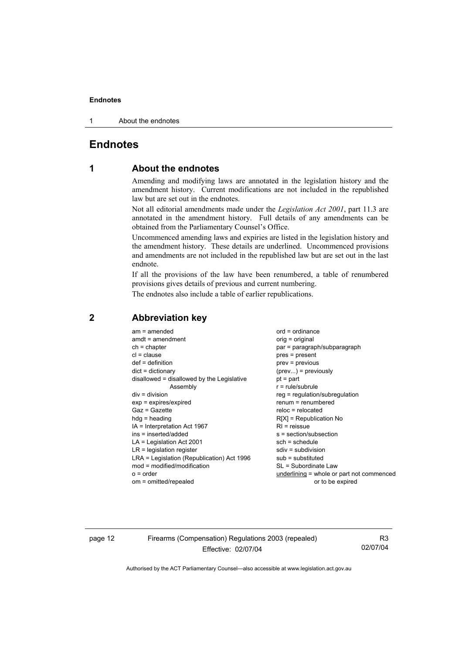### **Endnotes**

1 About the endnotes

# **Endnotes**

# **1 About the endnotes**

Amending and modifying laws are annotated in the legislation history and the amendment history. Current modifications are not included in the republished law but are set out in the endnotes.

Not all editorial amendments made under the *Legislation Act 2001*, part 11.3 are annotated in the amendment history. Full details of any amendments can be obtained from the Parliamentary Counsel's Office.

Uncommenced amending laws and expiries are listed in the legislation history and the amendment history. These details are underlined. Uncommenced provisions and amendments are not included in the republished law but are set out in the last endnote.

If all the provisions of the law have been renumbered, a table of renumbered provisions gives details of previous and current numbering.

The endnotes also include a table of earlier republications.

| $am = amended$<br>$amdt = amendment$<br>$ch = chapter$<br>$cl = clause$<br>$def = definition$<br>$dict = dictionary$<br>disallowed = disallowed by the Legislative<br>Assembly<br>$div = division$<br>$exp = expires/expired$<br>$Gaz = Gazette$<br>$hda =$ heading<br>IA = Interpretation Act 1967<br>ins = inserted/added<br>$LA =$ Legislation Act 2001<br>$LR =$ legislation register<br>LRA = Legislation (Republication) Act 1996<br>$mod = modified/modification$<br>$o = order$ | $ord = ordinance$<br>orig = original<br>par = paragraph/subparagraph<br>$pres = present$<br>$prev = previous$<br>$(\text{prev})$ = previously<br>$pt = part$<br>$r = rule/subrule$<br>$reg = regulation/subregulation$<br>$renum = renumbered$<br>$reloc = relocated$<br>$R[X]$ = Republication No<br>$RI = reissue$<br>s = section/subsection<br>$sch = schedule$<br>$sdiv = subdivision$<br>$sub =$ substituted<br>SL = Subordinate Law<br>underlining = whole or part not commenced |
|-----------------------------------------------------------------------------------------------------------------------------------------------------------------------------------------------------------------------------------------------------------------------------------------------------------------------------------------------------------------------------------------------------------------------------------------------------------------------------------------|----------------------------------------------------------------------------------------------------------------------------------------------------------------------------------------------------------------------------------------------------------------------------------------------------------------------------------------------------------------------------------------------------------------------------------------------------------------------------------------|
| om = omitted/repealed                                                                                                                                                                                                                                                                                                                                                                                                                                                                   | or to be expired                                                                                                                                                                                                                                                                                                                                                                                                                                                                       |
|                                                                                                                                                                                                                                                                                                                                                                                                                                                                                         |                                                                                                                                                                                                                                                                                                                                                                                                                                                                                        |

## **2 Abbreviation key**

page 12 Firearms (Compensation) Regulations 2003 (repealed) Effective: 02/07/04

R3 02/07/04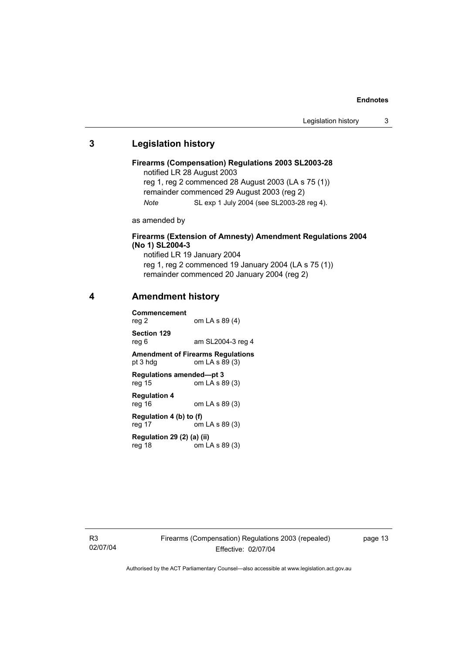#### **Endnotes**

## **3 Legislation history**

```
Firearms (Compensation) Regulations 2003 SL2003-28 
notified LR 28 August 2003 
reg 1, reg 2 commenced 28 August 2003 (LA s 75 (1)) 
remainder commenced 29 August 2003 (reg 2) 
Note SL exp 1 July 2004 (see SL2003-28 reg 4).
```
as amended by

## **Firearms (Extension of Amnesty) Amendment Regulations 2004 (No 1) SL2004-3**

notified LR 19 January 2004 reg 1, reg 2 commenced 19 January 2004 (LA s 75 (1)) remainder commenced 20 January 2004 (reg 2)

## **4 Amendment history**

**Commencement**  reg 2 om LA s 89 (4) **Section 129**  reg 6 am SL2004-3 reg 4 **Amendment of Firearms Regulations**  pt  $3$  hdg om LA s  $89$  (3) **Regulations amended—pt 3**  reg 15 om LA s 89 (3) **Regulation 4**  reg 16 om LA s 89 (3) **Regulation 4 (b) to (f)**  reg 17 om LA s 89 (3) **Regulation 29 (2) (a) (ii)**  reg 18 om LA s 89 (3)

R3 02/07/04 page 13